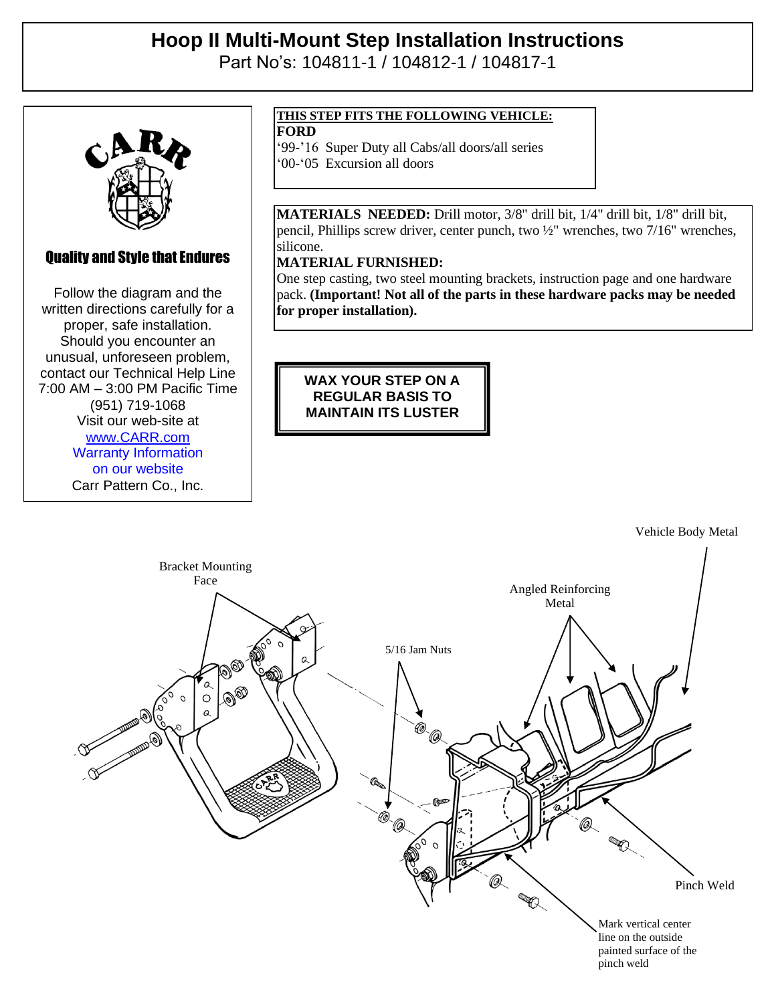# **Hoop II Multi-Mount Step Installation Instructions**

Part No's: 104811-1 / 104812-1 / 104817-1



## Quality and Style that Endures

 $\mathbb{R}$  and Style that Endures that Endures is  $\mathbb{R}$ Follow the diagram and the written directions carefully for a written directions carefully for a proper, safe installation. proper, safe installation. Should you encounter an Should you encounter an unusual, unforeseen problem, unusual, unforeseen problem, contact our Technical Help Line contact our Technical Help Line 7:00 AM – 3:00 PM Pacific Time 7:00 AM – 3:00 PM Pacific Time (951) 719-1068 (951) 719-1068 Visit our web-site at Visit our web-site at www.com [www.CARR.com](http://www.carr.com/) Warranty Information on our website Carr Pattern Co., Inc.

### **THIS STEP FITS THE FOLLOWING VEHICLE:**

**FORD**

'99-'16 Super Duty all Cabs/all doors/all series

'00-'05 Excursion all doors

**MATERIALS NEEDED:** Drill motor, 3/8" drill bit, 1/4" drill bit, 1/8" drill bit, pencil, Phillips screw driver, center punch, two ½" wrenches, two 7/16" wrenches, silicone.

### **MATERIAL FURNISHED:**

One step casting, two steel mounting brackets, instruction page and one hardware pack. **(Important! Not all of the parts in these hardware packs may be needed for proper installation).**

**WAX YOUR STEP ON A REGULAR BASIS TO MAINTAIN ITS LUSTER**

Vehicle Body Metal